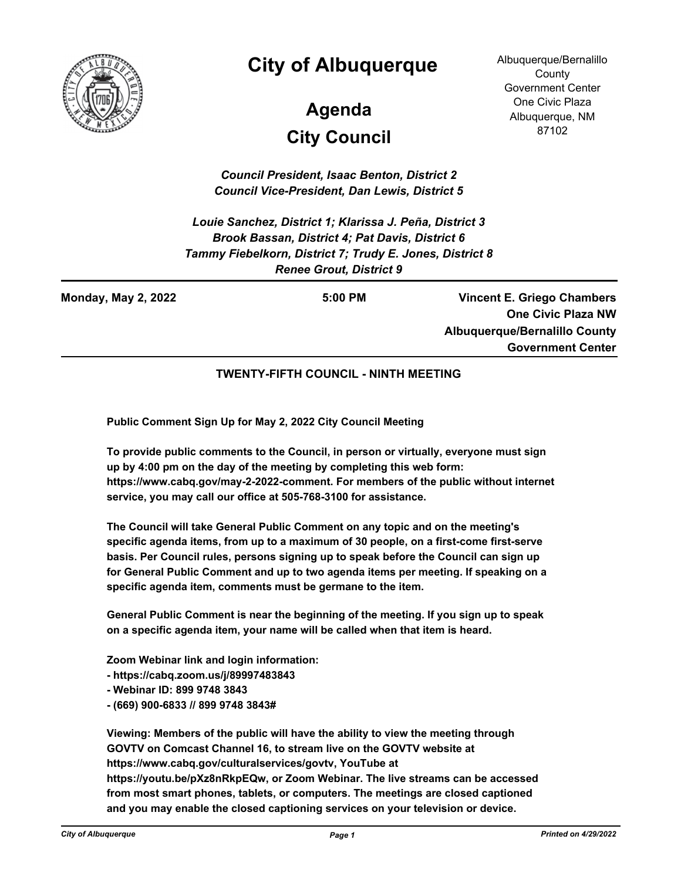

## **City of Albuquerque**

# **City Council Agenda**

Albuquerque/Bernalillo **County** Government Center One Civic Plaza Albuquerque, NM 87102

*Council President, Isaac Benton, District 2 Council Vice-President, Dan Lewis, District 5*

*Louie Sanchez, District 1; Klarissa J. Peña, District 3 Brook Bassan, District 4; Pat Davis, District 6 Tammy Fiebelkorn, District 7; Trudy E. Jones, District 8 Renee Grout, District 9*

**Monday, May 2, 2022 5:00 PM**

**Vincent E. Griego Chambers One Civic Plaza NW Albuquerque/Bernalillo County Government Center**

#### **TWENTY-FIFTH COUNCIL - NINTH MEETING**

**Public Comment Sign Up for May 2, 2022 City Council Meeting**

**To provide public comments to the Council, in person or virtually, everyone must sign up by 4:00 pm on the day of the meeting by completing this web form: https://www.cabq.gov/may-2-2022-comment. For members of the public without internet service, you may call our office at 505-768-3100 for assistance.** 

**The Council will take General Public Comment on any topic and on the meeting's specific agenda items, from up to a maximum of 30 people, on a first-come first-serve basis. Per Council rules, persons signing up to speak before the Council can sign up for General Public Comment and up to two agenda items per meeting. If speaking on a specific agenda item, comments must be germane to the item.**

**General Public Comment is near the beginning of the meeting. If you sign up to speak on a specific agenda item, your name will be called when that item is heard.**

**Zoom Webinar link and login information:**

**- https://cabq.zoom.us/j/89997483843** 

- **Webinar ID: 899 9748 3843**
- **(669) 900-6833 // 899 9748 3843#**

**Viewing: Members of the public will have the ability to view the meeting through GOVTV on Comcast Channel 16, to stream live on the GOVTV website at https://www.cabq.gov/culturalservices/govtv, YouTube at https://youtu.be/pXz8nRkpEQw, or Zoom Webinar. The live streams can be accessed from most smart phones, tablets, or computers. The meetings are closed captioned and you may enable the closed captioning services on your television or device.**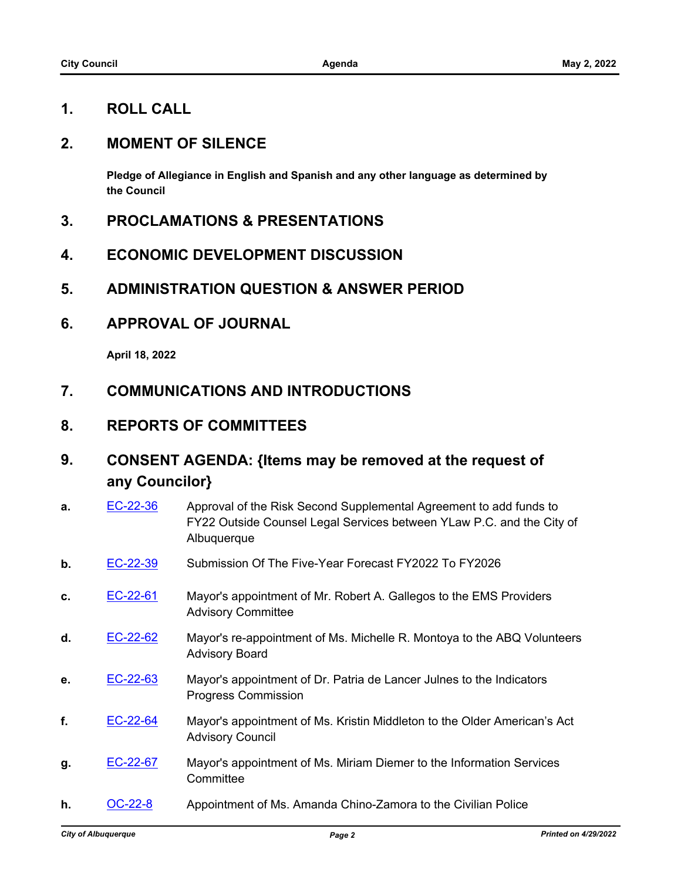## **1. ROLL CALL**

## **2. MOMENT OF SILENCE**

**Pledge of Allegiance in English and Spanish and any other language as determined by the Council**

- **3. PROCLAMATIONS & PRESENTATIONS**
- **4. ECONOMIC DEVELOPMENT DISCUSSION**
- **5. ADMINISTRATION QUESTION & ANSWER PERIOD**
- **6. APPROVAL OF JOURNAL**

**April 18, 2022**

- **7. COMMUNICATIONS AND INTRODUCTIONS**
- **8. REPORTS OF COMMITTEES**
- **9. CONSENT AGENDA: {Items may be removed at the request of any Councilor}**

| a. | EC-22-36 | Approval of the Risk Second Supplemental Agreement to add funds to<br>FY22 Outside Counsel Legal Services between YLaw P.C. and the City of<br>Albuquerque |
|----|----------|------------------------------------------------------------------------------------------------------------------------------------------------------------|
| b. | EC-22-39 | Submission Of The Five-Year Forecast FY2022 To FY2026                                                                                                      |
| c. | EC-22-61 | Mayor's appointment of Mr. Robert A. Gallegos to the EMS Providers<br><b>Advisory Committee</b>                                                            |
| d. | EC-22-62 | Mayor's re-appointment of Ms. Michelle R. Montoya to the ABQ Volunteers<br><b>Advisory Board</b>                                                           |
| е. | EC-22-63 | Mayor's appointment of Dr. Patria de Lancer Julnes to the Indicators<br><b>Progress Commission</b>                                                         |
| f. | EC-22-64 | Mayor's appointment of Ms. Kristin Middleton to the Older American's Act<br><b>Advisory Council</b>                                                        |
| g. | EC-22-67 | Mayor's appointment of Ms. Miriam Diemer to the Information Services<br>Committee                                                                          |
| h. | OC-22-8  | Appointment of Ms. Amanda Chino-Zamora to the Civilian Police                                                                                              |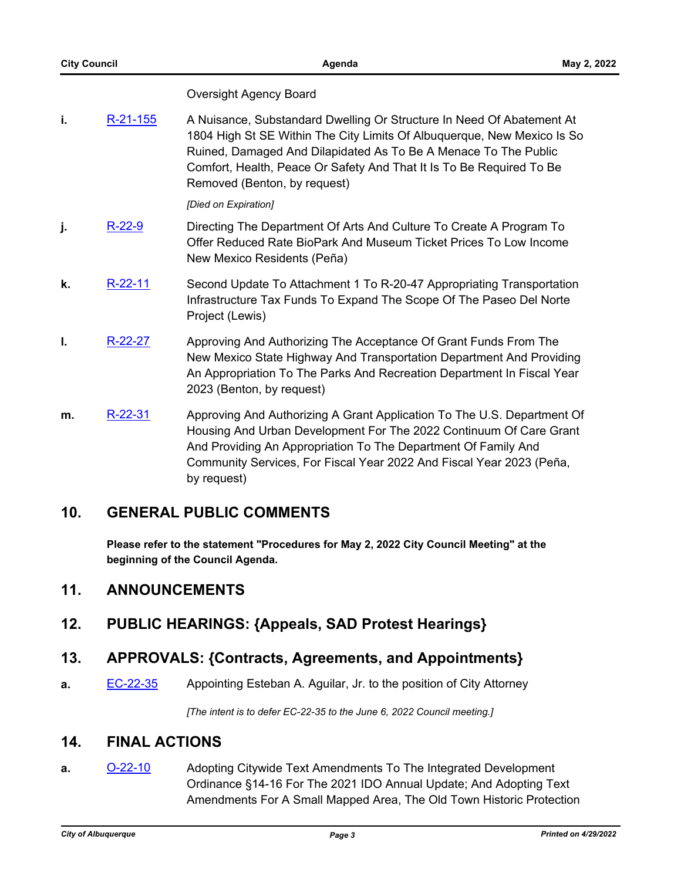#### Oversight Agency Board

**i.** [R-21-155](http://cabq.legistar.com/gateway.aspx?m=l&id=/matter.aspx?key=12448) A Nuisance, Substandard Dwelling Or Structure In Need Of Abatement At 1804 High St SE Within The City Limits Of Albuquerque, New Mexico Is So Ruined, Damaged And Dilapidated As To Be A Menace To The Public Comfort, Health, Peace Or Safety And That It Is To Be Required To Be Removed (Benton, by request)

#### *[Died on Expiration]*

- **i.** [R-22-9](http://cabq.legistar.com/gateway.aspx?m=l&id=/matter.aspx?key=12850) Directing The Department Of Arts And Culture To Create A Program To Offer Reduced Rate BioPark And Museum Ticket Prices To Low Income New Mexico Residents (Peña)
- **k.** [R-22-11](http://cabq.legistar.com/gateway.aspx?m=l&id=/matter.aspx?key=12854) Second Update To Attachment 1 To R-20-47 Appropriating Transportation Infrastructure Tax Funds To Expand The Scope Of The Paseo Del Norte Project (Lewis)
- **l.** [R-22-27](http://cabq.legistar.com/gateway.aspx?m=l&id=/matter.aspx?key=12894) Approving And Authorizing The Acceptance Of Grant Funds From The New Mexico State Highway And Transportation Department And Providing An Appropriation To The Parks And Recreation Department In Fiscal Year 2023 (Benton, by request)
- **m.** [R-22-31](http://cabq.legistar.com/gateway.aspx?m=l&id=/matter.aspx?key=12899) Approving And Authorizing A Grant Application To The U.S. Department Of Housing And Urban Development For The 2022 Continuum Of Care Grant And Providing An Appropriation To The Department Of Family And Community Services, For Fiscal Year 2022 And Fiscal Year 2023 (Peña, by request)

## **10. GENERAL PUBLIC COMMENTS**

**Please refer to the statement "Procedures for May 2, 2022 City Council Meeting" at the beginning of the Council Agenda.**

## **11. ANNOUNCEMENTS**

**12. PUBLIC HEARINGS: {Appeals, SAD Protest Hearings}**

## **13. APPROVALS: {Contracts, Agreements, and Appointments}**

**a.** [EC-22-35](http://cabq.legistar.com/gateway.aspx?m=l&id=/matter.aspx?key=12823) Appointing Esteban A. Aguilar, Jr. to the position of City Attorney

*[The intent is to defer EC-22-35 to the June 6, 2022 Council meeting.]*

#### **14. FINAL ACTIONS**

**a. [O-22-10](http://cabq.legistar.com/gateway.aspx?m=l&id=/matter.aspx?key=12818)** Adopting Citywide Text Amendments To The Integrated Development Ordinance §14-16 For The 2021 IDO Annual Update; And Adopting Text Amendments For A Small Mapped Area, The Old Town Historic Protection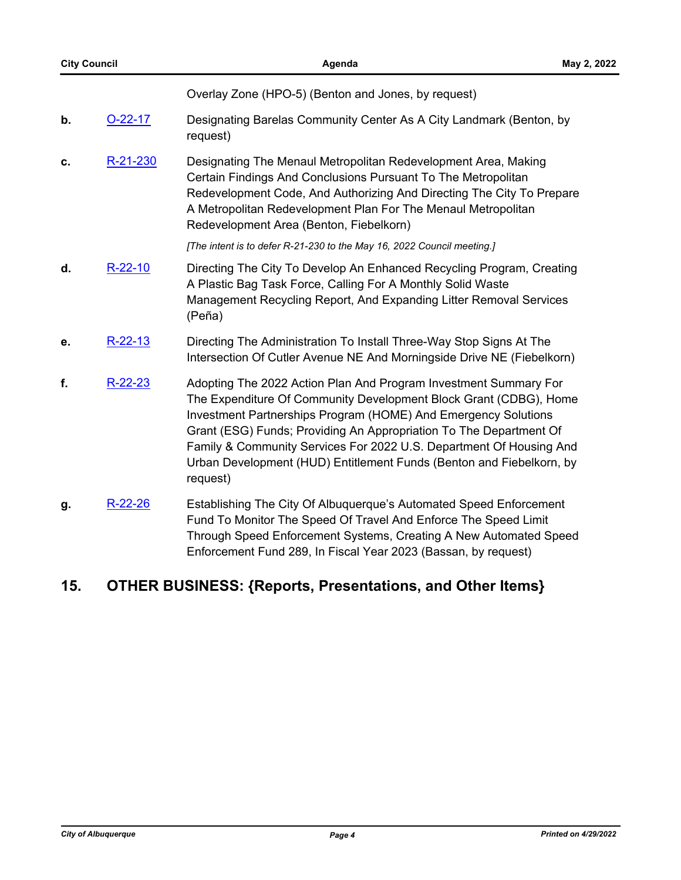Overlay Zone (HPO-5) (Benton and Jones, by request)

- **b.** [O-22-17](http://cabq.legistar.com/gateway.aspx?m=l&id=/matter.aspx?key=12861) Designating Barelas Community Center As A City Landmark (Benton, by request)
- **c.** [R-21-230](http://cabq.legistar.com/gateway.aspx?m=l&id=/matter.aspx?key=12738) Designating The Menaul Metropolitan Redevelopment Area, Making Certain Findings And Conclusions Pursuant To The Metropolitan Redevelopment Code, And Authorizing And Directing The City To Prepare A Metropolitan Redevelopment Plan For The Menaul Metropolitan Redevelopment Area (Benton, Fiebelkorn)

*[The intent is to defer R-21-230 to the May 16, 2022 Council meeting.]*

- **d.** [R-22-10](http://cabq.legistar.com/gateway.aspx?m=l&id=/matter.aspx?key=12852) Directing The City To Develop An Enhanced Recycling Program, Creating A Plastic Bag Task Force, Calling For A Monthly Solid Waste Management Recycling Report, And Expanding Litter Removal Services (Peña)
- **e.** [R-22-13](http://cabq.legistar.com/gateway.aspx?m=l&id=/matter.aspx?key=12858) Directing The Administration To Install Three-Way Stop Signs At The Intersection Of Cutler Avenue NE And Morningside Drive NE (Fiebelkorn)
- **f.** [R-22-23](http://cabq.legistar.com/gateway.aspx?m=l&id=/matter.aspx?key=12877) Adopting The 2022 Action Plan And Program Investment Summary For The Expenditure Of Community Development Block Grant (CDBG), Home Investment Partnerships Program (HOME) And Emergency Solutions Grant (ESG) Funds; Providing An Appropriation To The Department Of Family & Community Services For 2022 U.S. Department Of Housing And Urban Development (HUD) Entitlement Funds (Benton and Fiebelkorn, by request)
- **g.** [R-22-26](http://cabq.legistar.com/gateway.aspx?m=l&id=/matter.aspx?key=12886) Establishing The City Of Albuquerque's Automated Speed Enforcement Fund To Monitor The Speed Of Travel And Enforce The Speed Limit Through Speed Enforcement Systems, Creating A New Automated Speed Enforcement Fund 289, In Fiscal Year 2023 (Bassan, by request)

## **15. OTHER BUSINESS: {Reports, Presentations, and Other Items}**